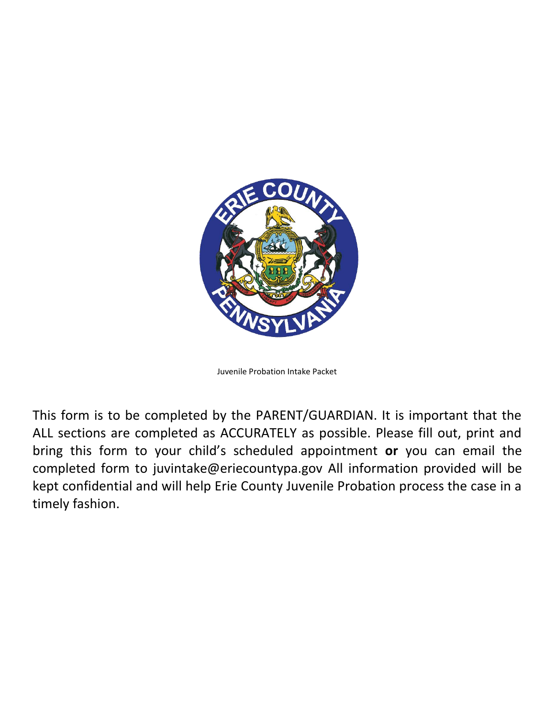

Juvenile Probation Intake Packet

This form is to be completed by the PARENT/GUARDIAN. It is important that the ALL sections are completed as ACCURATELY as possible. Please fill out, print and bring this form to your child's scheduled appointment **or** you can email the completed form to [juvintake@eriecountypa.gov](mailto:juvintake@eriecountypa.gov) All information provided will be kept confidential and will help Erie County Juvenile Probation process the case in a timely fashion.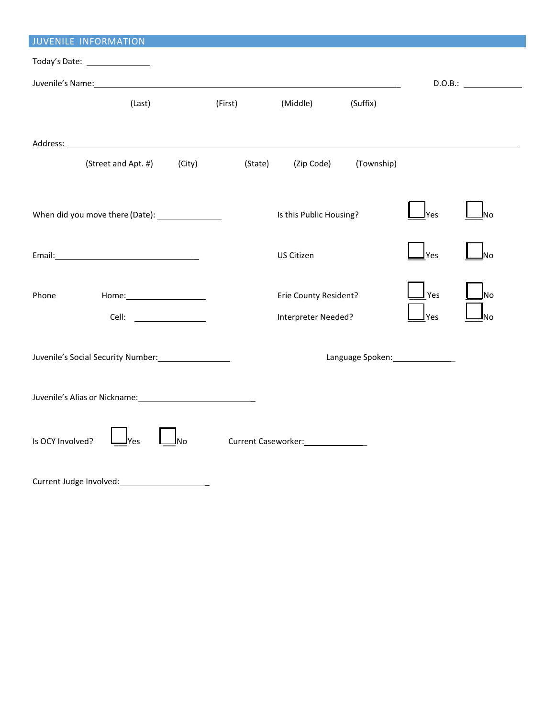| <b>JUVENILE INFORMATION</b>                                                                                                                                                                                                   |         |                                     |            |                  |         |  |  |  |  |
|-------------------------------------------------------------------------------------------------------------------------------------------------------------------------------------------------------------------------------|---------|-------------------------------------|------------|------------------|---------|--|--|--|--|
| Today's Date: ________________                                                                                                                                                                                                |         |                                     |            |                  |         |  |  |  |  |
|                                                                                                                                                                                                                               |         |                                     |            |                  | D.O.B.: |  |  |  |  |
| (Last)                                                                                                                                                                                                                        | (First) | (Middle)                            | (Suffix)   |                  |         |  |  |  |  |
|                                                                                                                                                                                                                               |         |                                     |            |                  |         |  |  |  |  |
|                                                                                                                                                                                                                               |         |                                     |            |                  |         |  |  |  |  |
| (Street and Apt. #)<br>(City)                                                                                                                                                                                                 | (State) | (Zip Code)                          | (Township) |                  |         |  |  |  |  |
|                                                                                                                                                                                                                               |         |                                     |            |                  |         |  |  |  |  |
| When did you move there (Date): _______________                                                                                                                                                                               |         | Is this Public Housing?             |            | Yes              | No      |  |  |  |  |
|                                                                                                                                                                                                                               |         |                                     |            |                  |         |  |  |  |  |
| Email: Note and the set of the set of the set of the set of the set of the set of the set of the set of the set of the set of the set of the set of the set of the set of the set of the set of the set of the set of the set |         | US Citizen                          |            | $\mathsf{I}$ Yes | Νo      |  |  |  |  |
|                                                                                                                                                                                                                               |         |                                     |            |                  |         |  |  |  |  |
| Home:<br>Phone                                                                                                                                                                                                                |         | Erie County Resident?               |            | Yes              | lNo     |  |  |  |  |
|                                                                                                                                                                                                                               |         | Interpreter Needed?                 |            | <u>I</u> Yes     | No      |  |  |  |  |
|                                                                                                                                                                                                                               |         |                                     |            |                  |         |  |  |  |  |
| Juvenile's Social Security Number: 1997                                                                                                                                                                                       |         |                                     |            |                  |         |  |  |  |  |
|                                                                                                                                                                                                                               |         |                                     |            |                  |         |  |  |  |  |
| Juvenile's Alias or Nickname: 1997                                                                                                                                                                                            |         |                                     |            |                  |         |  |  |  |  |
|                                                                                                                                                                                                                               |         |                                     |            |                  |         |  |  |  |  |
| Is OCY Involved?<br>JNo<br>lYes                                                                                                                                                                                               |         | Current Caseworker: _______________ |            |                  |         |  |  |  |  |
|                                                                                                                                                                                                                               |         |                                     |            |                  |         |  |  |  |  |
|                                                                                                                                                                                                                               |         |                                     |            |                  |         |  |  |  |  |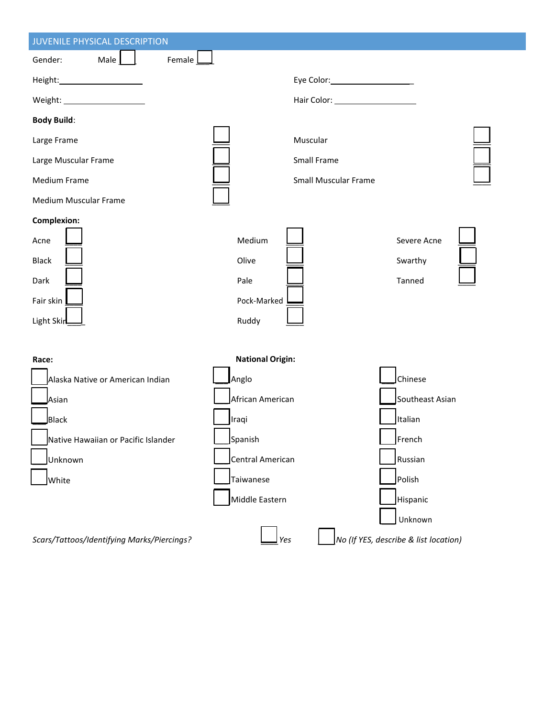| JUVENILE PHYSICAL DESCRIPTION              |                         |                                   |                                       |
|--------------------------------------------|-------------------------|-----------------------------------|---------------------------------------|
| Male<br>Gender:<br>Female                  |                         |                                   |                                       |
| Height: ______________________             |                         | Eye Color: ______________________ |                                       |
| Weight: ______________________             |                         |                                   |                                       |
| <b>Body Build:</b>                         |                         |                                   |                                       |
| Large Frame                                |                         | Muscular                          |                                       |
| Large Muscular Frame                       |                         | Small Frame                       |                                       |
| <b>Medium Frame</b>                        |                         | <b>Small Muscular Frame</b>       |                                       |
| Medium Muscular Frame                      |                         |                                   |                                       |
| <b>Complexion:</b>                         |                         |                                   |                                       |
| Acne                                       | Medium                  |                                   | Severe Acne                           |
| <b>Black</b>                               | Olive                   |                                   | Swarthy                               |
| Dark                                       | Pale                    |                                   | Tanned                                |
| Fair skin                                  | Pock-Marked             |                                   |                                       |
| Light Skin                                 | Ruddy                   |                                   |                                       |
|                                            |                         |                                   |                                       |
| Race:                                      | <b>National Origin:</b> |                                   |                                       |
| Alaska Native or American Indian           | Anglo                   |                                   | Chinese                               |
| Asian                                      | African American        |                                   | Southeast Asian                       |
| <b>Black</b>                               | Iraqi                   |                                   | Italian                               |
| Native Hawaiian or Pacific Islander        | Spanish                 |                                   | $\mathsf{F}$ rench                    |
| Unknown                                    | Central American        |                                   | Russian                               |
| White                                      | Taiwanese               |                                   | Polish                                |
|                                            | Middle Eastern          |                                   | Hispanic                              |
|                                            |                         |                                   | Unknown                               |
| Scars/Tattoos/Identifying Marks/Piercings? | $ $ Yes                 |                                   | No (If YES, describe & list location) |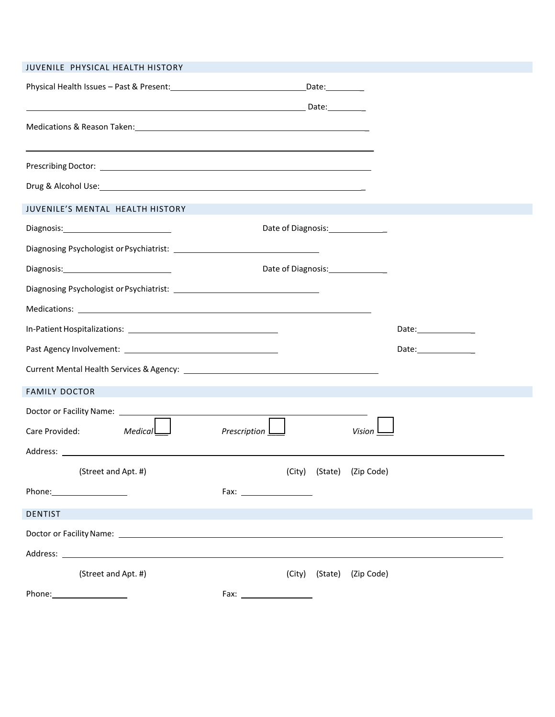| JUVENILE PHYSICAL HEALTH HISTORY                                                                                                                                                                                               |                |        |                                    |                       |
|--------------------------------------------------------------------------------------------------------------------------------------------------------------------------------------------------------------------------------|----------------|--------|------------------------------------|-----------------------|
|                                                                                                                                                                                                                                |                |        |                                    |                       |
|                                                                                                                                                                                                                                |                |        |                                    |                       |
| Medications & Reason Taken: Material Accords and Medications & Reason Taken: Material Accords and Medications (                                                                                                                |                |        |                                    |                       |
|                                                                                                                                                                                                                                |                |        |                                    |                       |
| Drug & Alcohol Use: New York Contract to the Contract of the Contract of the Contract of the Contract of the Contract of the Contract of the Contract of the Contract of the Contract of the Contract of the Contract of the C |                |        |                                    |                       |
| JUVENILE'S MENTAL HEALTH HISTORY                                                                                                                                                                                               |                |        |                                    |                       |
| Diagnosis: Diagnosis:                                                                                                                                                                                                          |                |        | Date of Diagnosis:________________ |                       |
|                                                                                                                                                                                                                                |                |        |                                    |                       |
|                                                                                                                                                                                                                                |                |        | Date of Diagnosis:______________   |                       |
|                                                                                                                                                                                                                                |                |        |                                    |                       |
|                                                                                                                                                                                                                                |                |        |                                    |                       |
|                                                                                                                                                                                                                                |                |        |                                    |                       |
|                                                                                                                                                                                                                                |                |        |                                    | Date:________________ |
|                                                                                                                                                                                                                                |                |        |                                    |                       |
| <b>FAMILY DOCTOR</b>                                                                                                                                                                                                           |                |        |                                    |                       |
|                                                                                                                                                                                                                                |                |        |                                    |                       |
| Medical<br>Care Provided:                                                                                                                                                                                                      | Prescription L |        | Vision                             |                       |
|                                                                                                                                                                                                                                |                |        |                                    |                       |
| (Street and Apt. #)                                                                                                                                                                                                            |                |        | (City) (State) (Zip Code)          |                       |
|                                                                                                                                                                                                                                |                |        |                                    |                       |
| <b>DENTIST</b>                                                                                                                                                                                                                 |                |        |                                    |                       |
|                                                                                                                                                                                                                                |                |        |                                    |                       |
|                                                                                                                                                                                                                                |                |        |                                    |                       |
| (Street and Apt. #)                                                                                                                                                                                                            |                | (City) | (State) (Zip Code)                 |                       |
|                                                                                                                                                                                                                                |                |        |                                    |                       |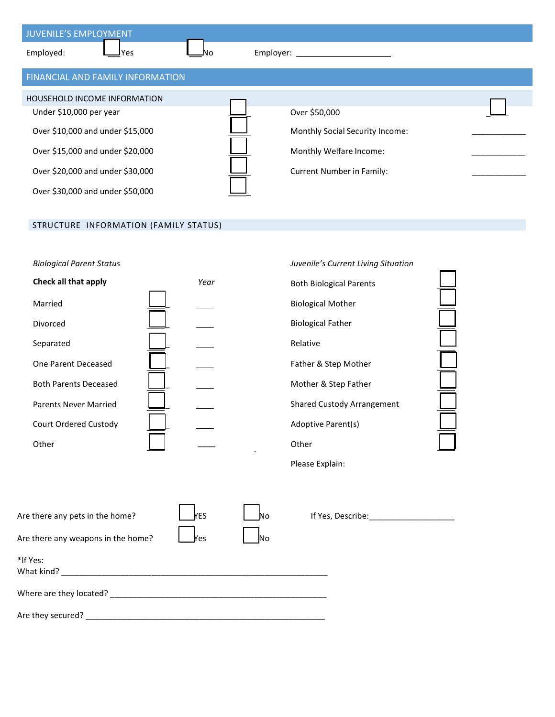| JUVENILE'S EMPLOYMENT                   |                                 |  |
|-----------------------------------------|---------------------------------|--|
| Employed:<br>Yes                        | Employer:                       |  |
| <b>FINANCIAL AND FAMILY INFORMATION</b> |                                 |  |
| <b>HOUSEHOLD INCOME INFORMATION</b>     |                                 |  |
| Under \$10,000 per year                 | Over \$50,000                   |  |
| Over \$10,000 and under \$15,000        | Monthly Social Security Income: |  |
| Over \$15,000 and under \$20,000        | Monthly Welfare Income:         |  |
| Over \$20,000 and under \$30,000        | Current Number in Family:       |  |
| Over \$30,000 and under \$50,000        |                                 |  |

## STRUCTURE INFORMATION (FAMILY STATUS)

### **Biological Parent Status** *Juvenile's Current Current Situation**Juvenile's Current Alexandric Current Current Current Alexandric Current Current Current Current Current Current Current Current Current Current Current*

| Check all that apply         | Year | <b>Both Biological Parents</b>    |
|------------------------------|------|-----------------------------------|
| Married                      |      | <b>Biological Mother</b>          |
| Divorced                     |      | <b>Biological Father</b>          |
| Separated                    |      | Relative                          |
| One Parent Deceased          |      | Father & Step Mother              |
| <b>Both Parents Deceased</b> |      | Mother & Step Father              |
| <b>Parents Never Married</b> |      | <b>Shared Custody Arrangement</b> |
| Court Ordered Custody        |      | Adoptive Parent(s)                |
| Other                        |      | Other                             |

|      | Juvenile's Current Living Situation |  |
|------|-------------------------------------|--|
| Year | <b>Both Biological Parents</b>      |  |
|      | <b>Biological Mother</b>            |  |
|      | <b>Biological Father</b>            |  |
|      | Relative                            |  |
|      | Father & Step Mother                |  |
|      | Mother & Step Father                |  |
|      | <b>Shared Custody Arrangement</b>   |  |
|      | Adoptive Parent(s)                  |  |
|      | Other                               |  |
|      | Please Explain:                     |  |

| Are there any pets in the home?    | <b>YES</b> | <b>No</b> | If Yes, Describe: |
|------------------------------------|------------|-----------|-------------------|
| Are there any weapons in the home? | Yes        | <b>No</b> |                   |
| *If Yes:<br>What kind?             |            |           |                   |
| Where are they located?            |            |           |                   |

Are they secured? \_\_\_\_\_\_\_\_\_\_\_\_\_\_\_\_\_\_\_\_\_\_\_\_\_\_\_\_\_\_\_\_\_\_\_\_\_\_\_\_\_\_\_\_\_\_\_\_\_\_\_\_\_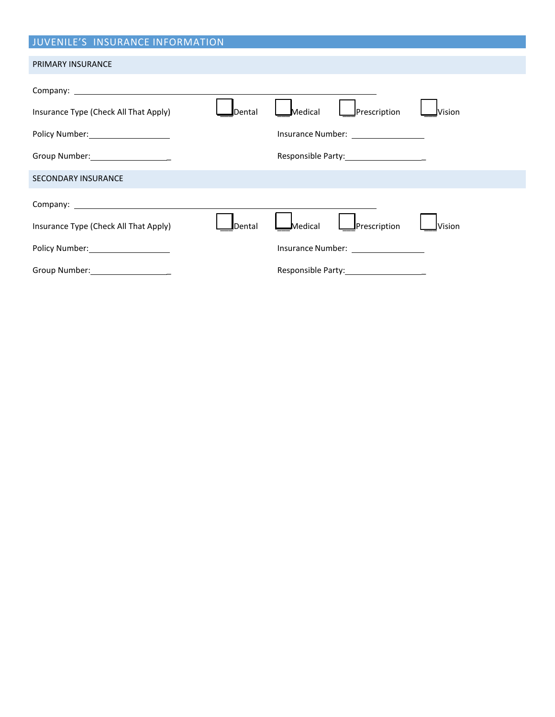# JUVENILE'S INSURANCE INFORMATION

#### PRIMARY INSURANCE

| Insurance Type (Check All That Apply)                                                                                                                                                                                          | <b>I</b> Dental | Prescription<br>Medical                                                                              | <b>Nision</b> |
|--------------------------------------------------------------------------------------------------------------------------------------------------------------------------------------------------------------------------------|-----------------|------------------------------------------------------------------------------------------------------|---------------|
| Policy Number: Note that the policy Number:                                                                                                                                                                                    |                 | Insurance Number: National Section Assets and the United States                                      |               |
| Group Number: Cambridge Management Control Control Control Control Control Control Control Control Control Control Control Control Control Control Control Control Control Control Control Control Control Control Control Con |                 |                                                                                                      |               |
| <b>SECONDARY INSURANCE</b>                                                                                                                                                                                                     |                 |                                                                                                      |               |
|                                                                                                                                                                                                                                |                 |                                                                                                      |               |
| Insurance Type (Check All That Apply)                                                                                                                                                                                          | <b>I</b> Dental | <b>I</b> Prescription<br>Medical                                                                     | <b>Vision</b> |
| Policy Number: Note that the policy Number:                                                                                                                                                                                    |                 | Insurance Number: National Section Assets and Assets and Assets and Assets are all the United States |               |
| Group Number: Cambridge Contract Contract Contract Contract Contract Contract Contract Contract Contract Contract Contract Contract Contract Contract Contract Contract Contract Contract Contract Contract Contract Contract  |                 | Responsible Party:____________________                                                               |               |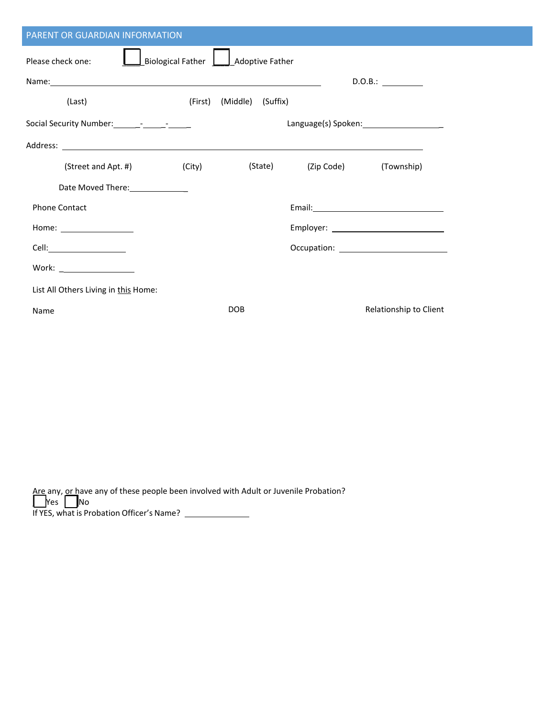| PARENT OR GUARDIAN INFORMATION                                                                                                                                                                                                      |                                     |                   |            |                                                                                                               |  |  |  |
|-------------------------------------------------------------------------------------------------------------------------------------------------------------------------------------------------------------------------------------|-------------------------------------|-------------------|------------|---------------------------------------------------------------------------------------------------------------|--|--|--|
| Please check one:                                                                                                                                                                                                                   | Biological Father   Adoptive Father |                   |            |                                                                                                               |  |  |  |
|                                                                                                                                                                                                                                     |                                     |                   |            | D.O.B.:                                                                                                       |  |  |  |
| (Last)                                                                                                                                                                                                                              | (First)                             | (Middle) (Suffix) |            |                                                                                                               |  |  |  |
| Social Security Number: _________________________                                                                                                                                                                                   |                                     |                   |            |                                                                                                               |  |  |  |
| Address: <u>Address:</u> Address: Address: Address: Address: Address: Address: Address: Address: Address: Address: Address: Address: Address: Address: Address: Address: Address: Address: Address: Address: Address: Address: Addr |                                     |                   |            |                                                                                                               |  |  |  |
| (Street and Apt. #) (City)                                                                                                                                                                                                          |                                     | (State)           | (Zip Code) | (Township)                                                                                                    |  |  |  |
| Date Moved There: 1988                                                                                                                                                                                                              |                                     |                   |            |                                                                                                               |  |  |  |
| <b>Phone Contact</b>                                                                                                                                                                                                                |                                     |                   |            | Email: 2008 2010 2010 2010 2011 2021 2022 2023 2024 2022 2022 2023 2024 2022 2023 2024 2022 2023 2024 2025 20 |  |  |  |
| Home: $\sqrt{ }$                                                                                                                                                                                                                    |                                     |                   |            |                                                                                                               |  |  |  |
|                                                                                                                                                                                                                                     |                                     |                   |            |                                                                                                               |  |  |  |
| Work: ___________________                                                                                                                                                                                                           |                                     |                   |            |                                                                                                               |  |  |  |
| List All Others Living in this Home:                                                                                                                                                                                                |                                     |                   |            |                                                                                                               |  |  |  |
| Name                                                                                                                                                                                                                                |                                     | <b>DOB</b>        |            | Relationship to Client                                                                                        |  |  |  |

| Are any, or have any of these people been involved with Adult or Juvenile Probation?<br>$\begin{array}{ c c c c c }\n\hline\n\text{Yes} & \text{No}\n\end{array}$ |
|-------------------------------------------------------------------------------------------------------------------------------------------------------------------|
| If YES, what is Probation Officer's Name?                                                                                                                         |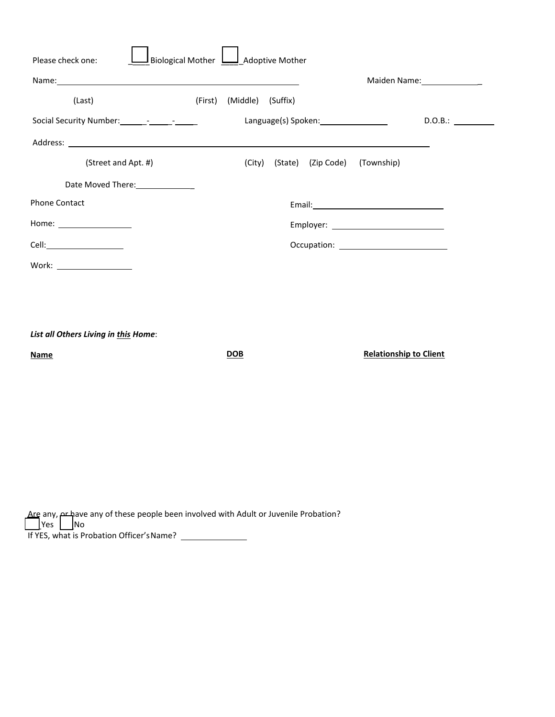| Please check one:                                                                                                                                                                                                              | Biological Mother |         |                   | Adoptive Mother |                    |                               |                   |
|--------------------------------------------------------------------------------------------------------------------------------------------------------------------------------------------------------------------------------|-------------------|---------|-------------------|-----------------|--------------------|-------------------------------|-------------------|
|                                                                                                                                                                                                                                |                   |         |                   |                 |                    |                               | Maiden Name: 1988 |
| (Last)                                                                                                                                                                                                                         |                   | (First) | (Middle) (Suffix) |                 |                    |                               |                   |
|                                                                                                                                                                                                                                |                   |         |                   |                 |                    |                               | D.0.B.:           |
| Address: Address: Address: Address: Address: Address: Address: Address: Address: Address: Address: Address: Address: Address: Address: Address: Address: Address: Address: Address: Address: Address: Address: Address: Addres |                   |         |                   |                 |                    |                               |                   |
| (Street and Apt. #)                                                                                                                                                                                                            |                   |         | (City)            |                 | (State) (Zip Code) | (Township)                    |                   |
| Date Moved There: 1990                                                                                                                                                                                                         |                   |         |                   |                 |                    |                               |                   |
| <b>Phone Contact</b>                                                                                                                                                                                                           |                   |         |                   |                 |                    |                               |                   |
| Home: ___________________                                                                                                                                                                                                      |                   |         |                   |                 |                    |                               |                   |
|                                                                                                                                                                                                                                |                   |         |                   |                 |                    |                               |                   |
| Work: ____________________                                                                                                                                                                                                     |                   |         |                   |                 |                    |                               |                   |
|                                                                                                                                                                                                                                |                   |         |                   |                 |                    |                               |                   |
|                                                                                                                                                                                                                                |                   |         |                   |                 |                    |                               |                   |
| List all Others Living in this Home:                                                                                                                                                                                           |                   |         |                   |                 |                    |                               |                   |
| <b>Name</b>                                                                                                                                                                                                                    |                   |         | <b>DOB</b>        |                 |                    | <b>Relationship to Client</b> |                   |
|                                                                                                                                                                                                                                |                   |         |                   |                 |                    |                               |                   |
|                                                                                                                                                                                                                                |                   |         |                   |                 |                    |                               |                   |
|                                                                                                                                                                                                                                |                   |         |                   |                 |                    |                               |                   |

 $\Box$ Yes  $\Box$ Are any,  $\rho$ r have any of these people been involved with Adult or Juvenile Probation? Yes | <u>|</u>No If YES, what is Probation Officer's Name?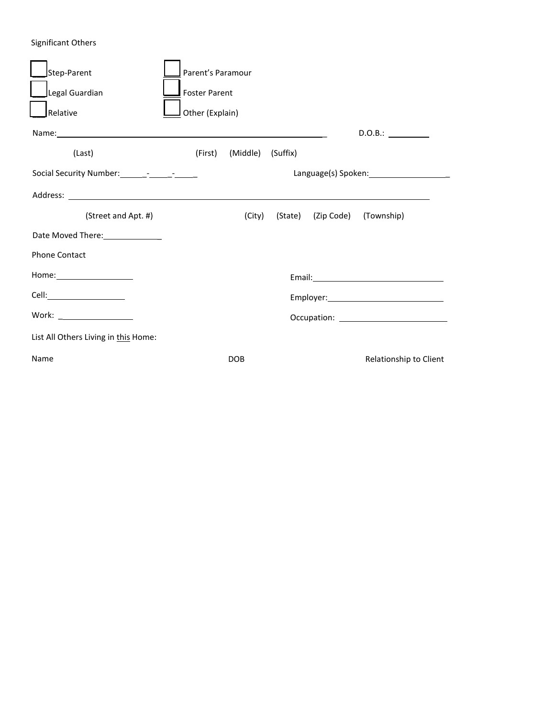## Significant Others

|      | Step-Parent                                                                                                                                                                                                                   | Parent's Paramour    |                 |                   |  |                               |                                                                                                                                                                                                                                |  |  |
|------|-------------------------------------------------------------------------------------------------------------------------------------------------------------------------------------------------------------------------------|----------------------|-----------------|-------------------|--|-------------------------------|--------------------------------------------------------------------------------------------------------------------------------------------------------------------------------------------------------------------------------|--|--|
|      | Legal Guardian                                                                                                                                                                                                                | <b>Foster Parent</b> |                 |                   |  |                               |                                                                                                                                                                                                                                |  |  |
|      | Relative                                                                                                                                                                                                                      |                      | Other (Explain) |                   |  |                               |                                                                                                                                                                                                                                |  |  |
|      | Name: Name and the second contract of the second contract of the second contract of the second contract of the second contract of the second contract of the second contract of the second contract of the second contract of |                      |                 |                   |  |                               | D.O.B.:                                                                                                                                                                                                                        |  |  |
|      | (Last)                                                                                                                                                                                                                        |                      | (First)         | (Middle) (Suffix) |  |                               |                                                                                                                                                                                                                                |  |  |
|      | Social Security Number: ________-_______________                                                                                                                                                                              |                      |                 |                   |  |                               |                                                                                                                                                                                                                                |  |  |
|      |                                                                                                                                                                                                                               |                      |                 |                   |  |                               |                                                                                                                                                                                                                                |  |  |
|      | (Street and Apt. #)                                                                                                                                                                                                           |                      |                 | (City)            |  | (State) (Zip Code) (Township) |                                                                                                                                                                                                                                |  |  |
|      | Date Moved There: 1988 Moved There 2008                                                                                                                                                                                       |                      |                 |                   |  |                               |                                                                                                                                                                                                                                |  |  |
|      | <b>Phone Contact</b>                                                                                                                                                                                                          |                      |                 |                   |  |                               |                                                                                                                                                                                                                                |  |  |
|      | Home: _________________________                                                                                                                                                                                               |                      |                 |                   |  |                               | Email: The Contract of the Contract of the Contract of the Contract of the Contract of the Contract of the Contract of the Contract of the Contract of the Contract of the Contract of the Contract of the Contract of the Con |  |  |
|      |                                                                                                                                                                                                                               |                      |                 |                   |  |                               |                                                                                                                                                                                                                                |  |  |
|      | Work: ____________________                                                                                                                                                                                                    |                      |                 |                   |  |                               |                                                                                                                                                                                                                                |  |  |
|      | List All Others Living in this Home:                                                                                                                                                                                          |                      |                 |                   |  |                               |                                                                                                                                                                                                                                |  |  |
| Name |                                                                                                                                                                                                                               |                      |                 | <b>DOB</b>        |  |                               | Relationship to Client                                                                                                                                                                                                         |  |  |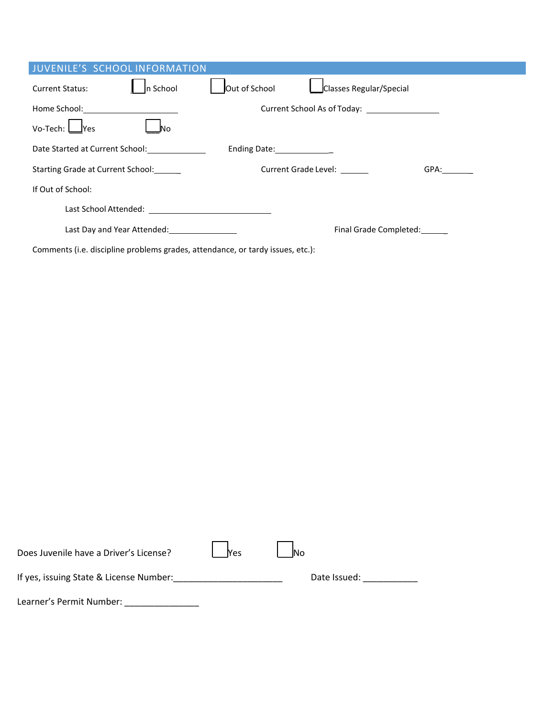| <b>JUVENILE'S SCHOOL INFORMATION</b>                                           |                                      |                             |                              |      |  |  |
|--------------------------------------------------------------------------------|--------------------------------------|-----------------------------|------------------------------|------|--|--|
| <b>Current Status:</b>                                                         | In School                            | Out of School               | Classes Regular/Special      |      |  |  |
|                                                                                |                                      |                             |                              |      |  |  |
| $Vo$ -Tech: $\Box$ Yes                                                         | JNo.                                 |                             |                              |      |  |  |
|                                                                                | Date Started at Current School: 2008 | Ending Date: 1997           |                              |      |  |  |
| Starting Grade at Current School:                                              |                                      | <b>Current Grade Level:</b> |                              | GPA: |  |  |
| If Out of School:                                                              |                                      |                             |                              |      |  |  |
|                                                                                |                                      |                             |                              |      |  |  |
|                                                                                |                                      |                             | Final Grade Completed: _____ |      |  |  |
| Comments (i.e. discipline problems grades, attendance, or tardy issues, etc.): |                                      |                             |                              |      |  |  |

| Does Juvenile have a Driver's License?  | <b>Nes</b> | <b>No</b>    |
|-----------------------------------------|------------|--------------|
| If yes, issuing State & License Number: |            | Date Issued: |
| Learner's Permit Number:                |            |              |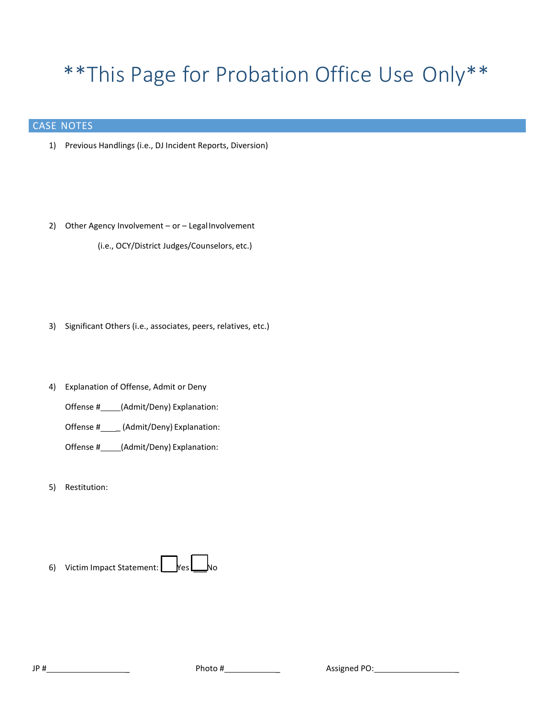# \*\*This Page for Probation Office Use Only\*\*

## CASE NOTES

- 1) Previous Handlings (i.e., DJ Incident Reports, Diversion)
- 2) Other Agency Involvement or Legal Involvement (i.e., OCY/District Judges/Counselors, etc.)
- 3) Significant Others (i.e., associates, peers, relatives, etc.)
- 4) Explanation of Offense, Admit or Deny
	- Offense #\_\_\_\_\_(Admit/Deny) Explanation:
	- Offense #\_\_\_\_\_ (Admit/Deny) Explanation:
	- Offense #\_\_\_\_\_(Admit/Deny) Explanation:
- 5) Restitution: